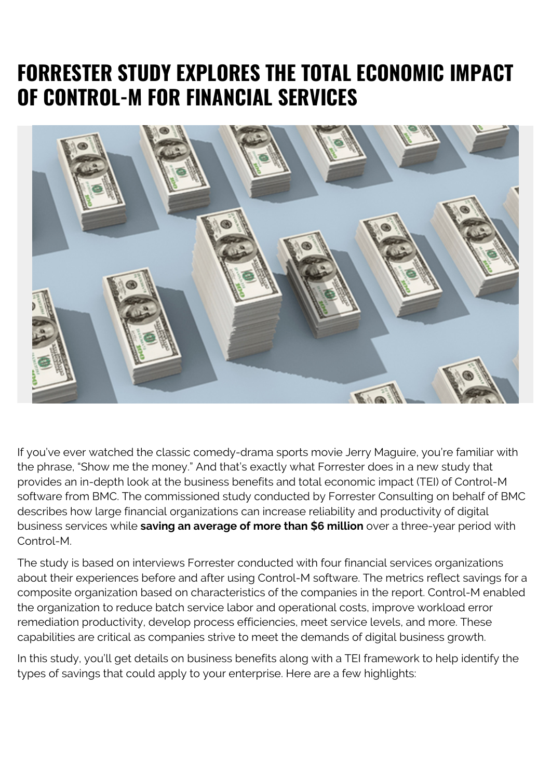## **FORRESTER STUDY EXPLORES THE TOTAL ECONOMIC IMPACT OF CONTROL-M FOR FINANCIAL SERVICES**



If you've ever watched the classic comedy-drama sports movie Jerry Maguire, you're familiar with the phrase, "Show me the money." And that's exactly what Forrester does in a new study that provides an in-depth look at the business benefits and total economic impact (TEI) of Control-M software from BMC. The commissioned study conducted by Forrester Consulting on behalf of BMC describes how large financial organizations can increase reliability and productivity of digital business services while **saving an average of more than \$6 million** over a three-year period with Control-M.

The study is based on interviews Forrester conducted with four financial services organizations about their experiences before and after using Control-M software. The metrics reflect savings for a composite organization based on characteristics of the companies in the report. Control-M enabled the organization to reduce batch service labor and operational costs, improve workload error remediation productivity, develop process efficiencies, meet service levels, and more. These capabilities are critical as companies strive to meet the demands of digital business growth.

In this study, you'll get details on business benefits along with a TEI framework to help identify the types of savings that could apply to your enterprise. Here are a few highlights: